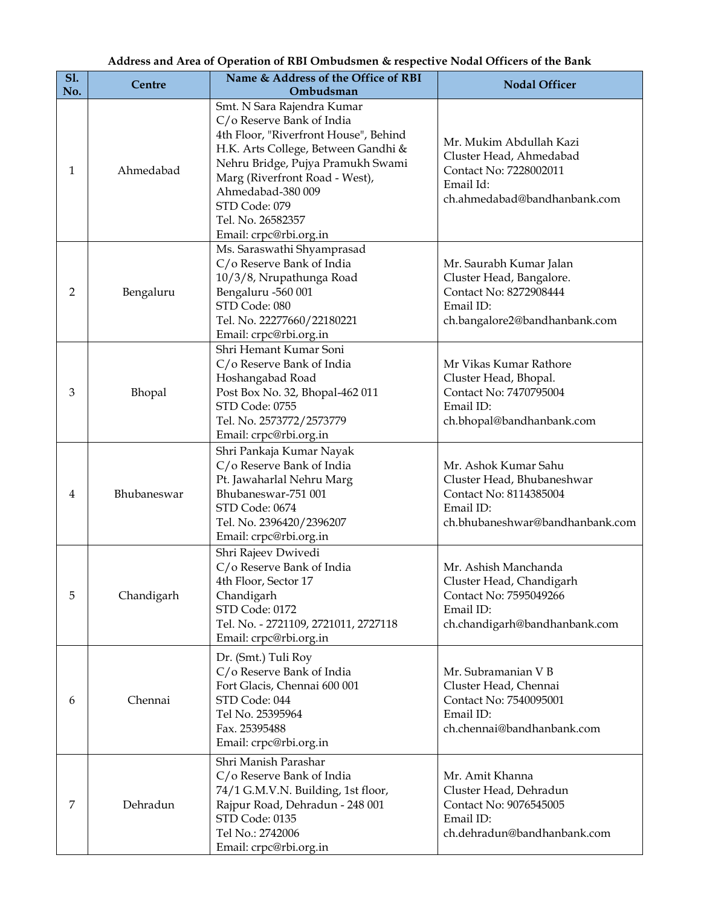## **Address and Area of Operation of RBI Ombudsmen & respective Nodal Officers of the Bank**

| <b>S1.</b><br>No. | Centre      | Name & Address of the Office of RBI<br>Ombudsman                                                                                                                                                                                                                                                    | <b>Nodal Officer</b>                                                                                                         |
|-------------------|-------------|-----------------------------------------------------------------------------------------------------------------------------------------------------------------------------------------------------------------------------------------------------------------------------------------------------|------------------------------------------------------------------------------------------------------------------------------|
| 1                 | Ahmedabad   | Smt. N Sara Rajendra Kumar<br>C/o Reserve Bank of India<br>4th Floor, "Riverfront House", Behind<br>H.K. Arts College, Between Gandhi &<br>Nehru Bridge, Pujya Pramukh Swami<br>Marg (Riverfront Road - West),<br>Ahmedabad-380 009<br>STD Code: 079<br>Tel. No. 26582357<br>Email: crpc@rbi.org.in | Mr. Mukim Abdullah Kazi<br>Cluster Head, Ahmedabad<br>Contact No: 7228002011<br>Email Id:<br>ch.ahmedabad@bandhanbank.com    |
| 2                 | Bengaluru   | Ms. Saraswathi Shyamprasad<br>C/o Reserve Bank of India<br>10/3/8, Nrupathunga Road<br>Bengaluru -560 001<br>STD Code: 080<br>Tel. No. 22277660/22180221<br>Email: crpc@rbi.org.in                                                                                                                  | Mr. Saurabh Kumar Jalan<br>Cluster Head, Bangalore.<br>Contact No: 8272908444<br>Email ID:<br>ch.bangalore2@bandhanbank.com  |
| 3                 | Bhopal      | Shri Hemant Kumar Soni<br>C/o Reserve Bank of India<br>Hoshangabad Road<br>Post Box No. 32, Bhopal-462 011<br>STD Code: 0755<br>Tel. No. 2573772/2573779<br>Email: crpc@rbi.org.in                                                                                                                  | Mr Vikas Kumar Rathore<br>Cluster Head, Bhopal.<br>Contact No: 7470795004<br>Email ID:<br>ch.bhopal@bandhanbank.com          |
| 4                 | Bhubaneswar | Shri Pankaja Kumar Nayak<br>C/o Reserve Bank of India<br>Pt. Jawaharlal Nehru Marg<br>Bhubaneswar-751 001<br>STD Code: 0674<br>Tel. No. 2396420/2396207<br>Email: crpc@rbi.org.in                                                                                                                   | Mr. Ashok Kumar Sahu<br>Cluster Head, Bhubaneshwar<br>Contact No: 8114385004<br>Email ID:<br>ch.bhubaneshwar@bandhanbank.com |
| 5                 | Chandigarh  | Shri Rajeev Dwivedi<br>C/o Reserve Bank of India<br>4th Floor, Sector 17<br>Chandigarh<br>STD Code: 0172<br>Tel. No. - 2721109, 2721011, 2727118<br>Email: crpc@rbi.org.in                                                                                                                          | Mr. Ashish Manchanda<br>Cluster Head, Chandigarh<br>Contact No: 7595049266<br>Email ID:<br>ch.chandigarh@bandhanbank.com     |
| 6                 | Chennai     | Dr. (Smt.) Tuli Roy<br>C/o Reserve Bank of India<br>Fort Glacis, Chennai 600 001<br>STD Code: 044<br>Tel No. 25395964<br>Fax. 25395488<br>Email: crpc@rbi.org.in                                                                                                                                    | Mr. Subramanian V B<br>Cluster Head, Chennai<br>Contact No: 7540095001<br>Email ID:<br>ch.chennai@bandhanbank.com            |
| 7                 | Dehradun    | Shri Manish Parashar<br>C/o Reserve Bank of India<br>74/1 G.M.V.N. Building, 1st floor,<br>Rajpur Road, Dehradun - 248 001<br>STD Code: 0135<br>Tel No.: 2742006<br>Email: crpc@rbi.org.in                                                                                                          | Mr. Amit Khanna<br>Cluster Head, Dehradun<br>Contact No: 9076545005<br>Email ID:<br>ch.dehradun@bandhanbank.com              |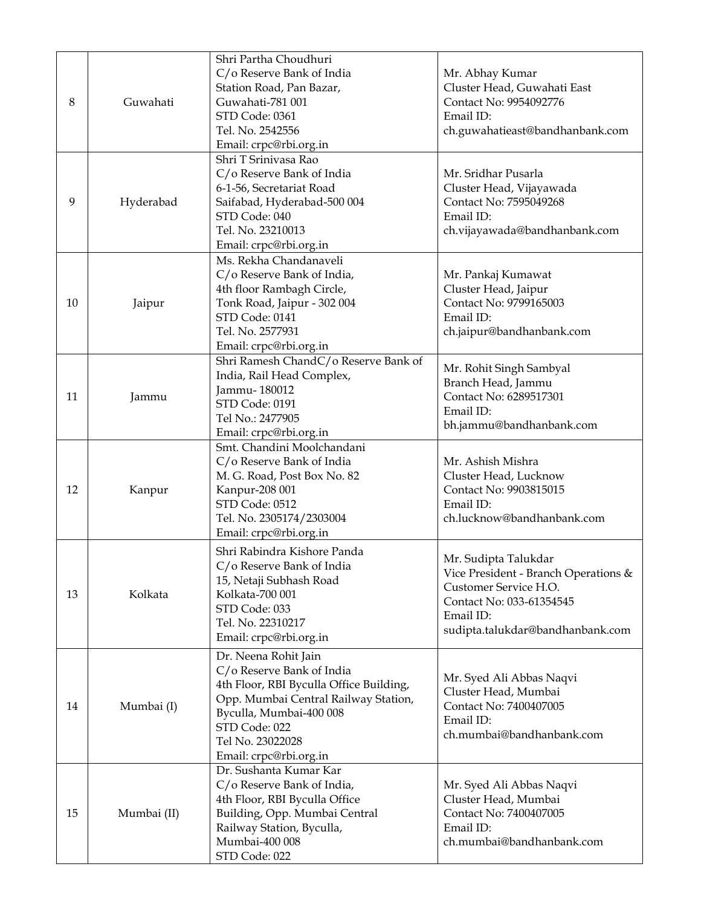| C/o Reserve Bank of India<br>Mr. Abhay Kumar<br>Cluster Head, Guwahati East<br>Station Road, Pan Bazar,<br>Guwahati<br>Guwahati-781 001<br>Contact No: 9954092776<br>8<br>STD Code: 0361<br>Email ID:<br>Tel. No. 2542556<br>ch.guwahatieast@bandhanbank.com<br>Email: crpc@rbi.org.in<br>Shri T Srinivasa Rao<br>C/o Reserve Bank of India<br>Mr. Sridhar Pusarla<br>6-1-56, Secretariat Road<br>Cluster Head, Vijayawada<br>9<br>Saifabad, Hyderabad-500 004<br>Contact No: 7595049268<br>Hyderabad<br>Email ID:<br>STD Code: 040<br>Tel. No. 23210013<br>ch.vijayawada@bandhanbank.com<br>Email: crpc@rbi.org.in<br>Ms. Rekha Chandanaveli<br>C/o Reserve Bank of India,<br>Mr. Pankaj Kumawat<br>Cluster Head, Jaipur<br>4th floor Rambagh Circle,<br>Tonk Road, Jaipur - 302 004<br>Contact No: 9799165003<br>10<br>Jaipur<br>STD Code: 0141<br>Email ID:<br>Tel. No. 2577931<br>ch.jaipur@bandhanbank.com<br>Email: crpc@rbi.org.in<br>Shri Ramesh ChandC/o Reserve Bank of<br>Mr. Rohit Singh Sambyal<br>India, Rail Head Complex,<br>Branch Head, Jammu<br>Jammu-180012<br>Contact No: 6289517301<br>11<br>Jammu<br>STD Code: 0191<br>Email ID:<br>Tel No.: 2477905<br>bh.jammu@bandhanbank.com<br>Email: crpc@rbi.org.in<br>Smt. Chandini Moolchandani<br>Mr. Ashish Mishra<br>C/o Reserve Bank of India<br>M. G. Road, Post Box No. 82<br>Cluster Head, Lucknow<br>12<br>Kanpur-208 001<br>Contact No: 9903815015<br>Kanpur<br>STD Code: 0512<br>Email ID:<br>ch.lucknow@bandhanbank.com<br>Tel. No. 2305174/2303004<br>Email: crpc@rbi.org.in<br>Shri Rabindra Kishore Panda<br>Mr. Sudipta Talukdar<br>C/o Reserve Bank of India<br>Vice President - Branch Operations &<br>15, Netaji Subhash Road<br>Customer Service H.O.<br>13<br>Kolkata<br>Kolkata-700 001<br>Contact No: 033-61354545 |    |             | Shri Partha Choudhuri |  |
|----------------------------------------------------------------------------------------------------------------------------------------------------------------------------------------------------------------------------------------------------------------------------------------------------------------------------------------------------------------------------------------------------------------------------------------------------------------------------------------------------------------------------------------------------------------------------------------------------------------------------------------------------------------------------------------------------------------------------------------------------------------------------------------------------------------------------------------------------------------------------------------------------------------------------------------------------------------------------------------------------------------------------------------------------------------------------------------------------------------------------------------------------------------------------------------------------------------------------------------------------------------------------------------------------------------------------------------------------------------------------------------------------------------------------------------------------------------------------------------------------------------------------------------------------------------------------------------------------------------------------------------------------------------------------------------------------------------------------------------------------------------------------------------------------------|----|-------------|-----------------------|--|
|                                                                                                                                                                                                                                                                                                                                                                                                                                                                                                                                                                                                                                                                                                                                                                                                                                                                                                                                                                                                                                                                                                                                                                                                                                                                                                                                                                                                                                                                                                                                                                                                                                                                                                                                                                                                          |    |             |                       |  |
|                                                                                                                                                                                                                                                                                                                                                                                                                                                                                                                                                                                                                                                                                                                                                                                                                                                                                                                                                                                                                                                                                                                                                                                                                                                                                                                                                                                                                                                                                                                                                                                                                                                                                                                                                                                                          |    |             |                       |  |
|                                                                                                                                                                                                                                                                                                                                                                                                                                                                                                                                                                                                                                                                                                                                                                                                                                                                                                                                                                                                                                                                                                                                                                                                                                                                                                                                                                                                                                                                                                                                                                                                                                                                                                                                                                                                          |    |             |                       |  |
|                                                                                                                                                                                                                                                                                                                                                                                                                                                                                                                                                                                                                                                                                                                                                                                                                                                                                                                                                                                                                                                                                                                                                                                                                                                                                                                                                                                                                                                                                                                                                                                                                                                                                                                                                                                                          |    |             |                       |  |
|                                                                                                                                                                                                                                                                                                                                                                                                                                                                                                                                                                                                                                                                                                                                                                                                                                                                                                                                                                                                                                                                                                                                                                                                                                                                                                                                                                                                                                                                                                                                                                                                                                                                                                                                                                                                          |    |             |                       |  |
|                                                                                                                                                                                                                                                                                                                                                                                                                                                                                                                                                                                                                                                                                                                                                                                                                                                                                                                                                                                                                                                                                                                                                                                                                                                                                                                                                                                                                                                                                                                                                                                                                                                                                                                                                                                                          |    |             |                       |  |
|                                                                                                                                                                                                                                                                                                                                                                                                                                                                                                                                                                                                                                                                                                                                                                                                                                                                                                                                                                                                                                                                                                                                                                                                                                                                                                                                                                                                                                                                                                                                                                                                                                                                                                                                                                                                          |    |             |                       |  |
|                                                                                                                                                                                                                                                                                                                                                                                                                                                                                                                                                                                                                                                                                                                                                                                                                                                                                                                                                                                                                                                                                                                                                                                                                                                                                                                                                                                                                                                                                                                                                                                                                                                                                                                                                                                                          |    |             |                       |  |
|                                                                                                                                                                                                                                                                                                                                                                                                                                                                                                                                                                                                                                                                                                                                                                                                                                                                                                                                                                                                                                                                                                                                                                                                                                                                                                                                                                                                                                                                                                                                                                                                                                                                                                                                                                                                          |    |             |                       |  |
|                                                                                                                                                                                                                                                                                                                                                                                                                                                                                                                                                                                                                                                                                                                                                                                                                                                                                                                                                                                                                                                                                                                                                                                                                                                                                                                                                                                                                                                                                                                                                                                                                                                                                                                                                                                                          |    |             |                       |  |
|                                                                                                                                                                                                                                                                                                                                                                                                                                                                                                                                                                                                                                                                                                                                                                                                                                                                                                                                                                                                                                                                                                                                                                                                                                                                                                                                                                                                                                                                                                                                                                                                                                                                                                                                                                                                          |    |             |                       |  |
|                                                                                                                                                                                                                                                                                                                                                                                                                                                                                                                                                                                                                                                                                                                                                                                                                                                                                                                                                                                                                                                                                                                                                                                                                                                                                                                                                                                                                                                                                                                                                                                                                                                                                                                                                                                                          |    |             |                       |  |
|                                                                                                                                                                                                                                                                                                                                                                                                                                                                                                                                                                                                                                                                                                                                                                                                                                                                                                                                                                                                                                                                                                                                                                                                                                                                                                                                                                                                                                                                                                                                                                                                                                                                                                                                                                                                          |    |             |                       |  |
|                                                                                                                                                                                                                                                                                                                                                                                                                                                                                                                                                                                                                                                                                                                                                                                                                                                                                                                                                                                                                                                                                                                                                                                                                                                                                                                                                                                                                                                                                                                                                                                                                                                                                                                                                                                                          |    |             |                       |  |
|                                                                                                                                                                                                                                                                                                                                                                                                                                                                                                                                                                                                                                                                                                                                                                                                                                                                                                                                                                                                                                                                                                                                                                                                                                                                                                                                                                                                                                                                                                                                                                                                                                                                                                                                                                                                          |    |             |                       |  |
|                                                                                                                                                                                                                                                                                                                                                                                                                                                                                                                                                                                                                                                                                                                                                                                                                                                                                                                                                                                                                                                                                                                                                                                                                                                                                                                                                                                                                                                                                                                                                                                                                                                                                                                                                                                                          |    |             |                       |  |
|                                                                                                                                                                                                                                                                                                                                                                                                                                                                                                                                                                                                                                                                                                                                                                                                                                                                                                                                                                                                                                                                                                                                                                                                                                                                                                                                                                                                                                                                                                                                                                                                                                                                                                                                                                                                          |    |             |                       |  |
|                                                                                                                                                                                                                                                                                                                                                                                                                                                                                                                                                                                                                                                                                                                                                                                                                                                                                                                                                                                                                                                                                                                                                                                                                                                                                                                                                                                                                                                                                                                                                                                                                                                                                                                                                                                                          |    |             |                       |  |
|                                                                                                                                                                                                                                                                                                                                                                                                                                                                                                                                                                                                                                                                                                                                                                                                                                                                                                                                                                                                                                                                                                                                                                                                                                                                                                                                                                                                                                                                                                                                                                                                                                                                                                                                                                                                          |    |             |                       |  |
|                                                                                                                                                                                                                                                                                                                                                                                                                                                                                                                                                                                                                                                                                                                                                                                                                                                                                                                                                                                                                                                                                                                                                                                                                                                                                                                                                                                                                                                                                                                                                                                                                                                                                                                                                                                                          |    |             |                       |  |
|                                                                                                                                                                                                                                                                                                                                                                                                                                                                                                                                                                                                                                                                                                                                                                                                                                                                                                                                                                                                                                                                                                                                                                                                                                                                                                                                                                                                                                                                                                                                                                                                                                                                                                                                                                                                          |    |             |                       |  |
|                                                                                                                                                                                                                                                                                                                                                                                                                                                                                                                                                                                                                                                                                                                                                                                                                                                                                                                                                                                                                                                                                                                                                                                                                                                                                                                                                                                                                                                                                                                                                                                                                                                                                                                                                                                                          |    |             |                       |  |
|                                                                                                                                                                                                                                                                                                                                                                                                                                                                                                                                                                                                                                                                                                                                                                                                                                                                                                                                                                                                                                                                                                                                                                                                                                                                                                                                                                                                                                                                                                                                                                                                                                                                                                                                                                                                          |    |             |                       |  |
|                                                                                                                                                                                                                                                                                                                                                                                                                                                                                                                                                                                                                                                                                                                                                                                                                                                                                                                                                                                                                                                                                                                                                                                                                                                                                                                                                                                                                                                                                                                                                                                                                                                                                                                                                                                                          |    |             |                       |  |
|                                                                                                                                                                                                                                                                                                                                                                                                                                                                                                                                                                                                                                                                                                                                                                                                                                                                                                                                                                                                                                                                                                                                                                                                                                                                                                                                                                                                                                                                                                                                                                                                                                                                                                                                                                                                          |    |             |                       |  |
|                                                                                                                                                                                                                                                                                                                                                                                                                                                                                                                                                                                                                                                                                                                                                                                                                                                                                                                                                                                                                                                                                                                                                                                                                                                                                                                                                                                                                                                                                                                                                                                                                                                                                                                                                                                                          |    |             |                       |  |
|                                                                                                                                                                                                                                                                                                                                                                                                                                                                                                                                                                                                                                                                                                                                                                                                                                                                                                                                                                                                                                                                                                                                                                                                                                                                                                                                                                                                                                                                                                                                                                                                                                                                                                                                                                                                          |    |             |                       |  |
|                                                                                                                                                                                                                                                                                                                                                                                                                                                                                                                                                                                                                                                                                                                                                                                                                                                                                                                                                                                                                                                                                                                                                                                                                                                                                                                                                                                                                                                                                                                                                                                                                                                                                                                                                                                                          |    |             |                       |  |
|                                                                                                                                                                                                                                                                                                                                                                                                                                                                                                                                                                                                                                                                                                                                                                                                                                                                                                                                                                                                                                                                                                                                                                                                                                                                                                                                                                                                                                                                                                                                                                                                                                                                                                                                                                                                          |    |             |                       |  |
|                                                                                                                                                                                                                                                                                                                                                                                                                                                                                                                                                                                                                                                                                                                                                                                                                                                                                                                                                                                                                                                                                                                                                                                                                                                                                                                                                                                                                                                                                                                                                                                                                                                                                                                                                                                                          |    |             |                       |  |
|                                                                                                                                                                                                                                                                                                                                                                                                                                                                                                                                                                                                                                                                                                                                                                                                                                                                                                                                                                                                                                                                                                                                                                                                                                                                                                                                                                                                                                                                                                                                                                                                                                                                                                                                                                                                          |    |             |                       |  |
|                                                                                                                                                                                                                                                                                                                                                                                                                                                                                                                                                                                                                                                                                                                                                                                                                                                                                                                                                                                                                                                                                                                                                                                                                                                                                                                                                                                                                                                                                                                                                                                                                                                                                                                                                                                                          |    |             |                       |  |
|                                                                                                                                                                                                                                                                                                                                                                                                                                                                                                                                                                                                                                                                                                                                                                                                                                                                                                                                                                                                                                                                                                                                                                                                                                                                                                                                                                                                                                                                                                                                                                                                                                                                                                                                                                                                          |    |             |                       |  |
|                                                                                                                                                                                                                                                                                                                                                                                                                                                                                                                                                                                                                                                                                                                                                                                                                                                                                                                                                                                                                                                                                                                                                                                                                                                                                                                                                                                                                                                                                                                                                                                                                                                                                                                                                                                                          |    |             |                       |  |
|                                                                                                                                                                                                                                                                                                                                                                                                                                                                                                                                                                                                                                                                                                                                                                                                                                                                                                                                                                                                                                                                                                                                                                                                                                                                                                                                                                                                                                                                                                                                                                                                                                                                                                                                                                                                          |    |             |                       |  |
|                                                                                                                                                                                                                                                                                                                                                                                                                                                                                                                                                                                                                                                                                                                                                                                                                                                                                                                                                                                                                                                                                                                                                                                                                                                                                                                                                                                                                                                                                                                                                                                                                                                                                                                                                                                                          |    |             |                       |  |
|                                                                                                                                                                                                                                                                                                                                                                                                                                                                                                                                                                                                                                                                                                                                                                                                                                                                                                                                                                                                                                                                                                                                                                                                                                                                                                                                                                                                                                                                                                                                                                                                                                                                                                                                                                                                          |    |             |                       |  |
|                                                                                                                                                                                                                                                                                                                                                                                                                                                                                                                                                                                                                                                                                                                                                                                                                                                                                                                                                                                                                                                                                                                                                                                                                                                                                                                                                                                                                                                                                                                                                                                                                                                                                                                                                                                                          |    |             | STD Code: 033         |  |
| Email ID:<br>Tel. No. 22310217                                                                                                                                                                                                                                                                                                                                                                                                                                                                                                                                                                                                                                                                                                                                                                                                                                                                                                                                                                                                                                                                                                                                                                                                                                                                                                                                                                                                                                                                                                                                                                                                                                                                                                                                                                           |    |             |                       |  |
| sudipta.talukdar@bandhanbank.com<br>Email: crpc@rbi.org.in                                                                                                                                                                                                                                                                                                                                                                                                                                                                                                                                                                                                                                                                                                                                                                                                                                                                                                                                                                                                                                                                                                                                                                                                                                                                                                                                                                                                                                                                                                                                                                                                                                                                                                                                               |    |             |                       |  |
| Dr. Neena Rohit Jain                                                                                                                                                                                                                                                                                                                                                                                                                                                                                                                                                                                                                                                                                                                                                                                                                                                                                                                                                                                                                                                                                                                                                                                                                                                                                                                                                                                                                                                                                                                                                                                                                                                                                                                                                                                     |    |             |                       |  |
| C/o Reserve Bank of India                                                                                                                                                                                                                                                                                                                                                                                                                                                                                                                                                                                                                                                                                                                                                                                                                                                                                                                                                                                                                                                                                                                                                                                                                                                                                                                                                                                                                                                                                                                                                                                                                                                                                                                                                                                |    | Mumbai (I)  |                       |  |
| Mr. Syed Ali Abbas Naqvi<br>4th Floor, RBI Byculla Office Building,                                                                                                                                                                                                                                                                                                                                                                                                                                                                                                                                                                                                                                                                                                                                                                                                                                                                                                                                                                                                                                                                                                                                                                                                                                                                                                                                                                                                                                                                                                                                                                                                                                                                                                                                      |    |             |                       |  |
| Cluster Head, Mumbai<br>Opp. Mumbai Central Railway Station,                                                                                                                                                                                                                                                                                                                                                                                                                                                                                                                                                                                                                                                                                                                                                                                                                                                                                                                                                                                                                                                                                                                                                                                                                                                                                                                                                                                                                                                                                                                                                                                                                                                                                                                                             |    |             |                       |  |
| Contact No: 7400407005<br>14<br>Byculla, Mumbai-400 008                                                                                                                                                                                                                                                                                                                                                                                                                                                                                                                                                                                                                                                                                                                                                                                                                                                                                                                                                                                                                                                                                                                                                                                                                                                                                                                                                                                                                                                                                                                                                                                                                                                                                                                                                  |    |             |                       |  |
| Email ID:<br>STD Code: 022                                                                                                                                                                                                                                                                                                                                                                                                                                                                                                                                                                                                                                                                                                                                                                                                                                                                                                                                                                                                                                                                                                                                                                                                                                                                                                                                                                                                                                                                                                                                                                                                                                                                                                                                                                               |    |             |                       |  |
| ch.mumbai@bandhanbank.com<br>Tel No. 23022028                                                                                                                                                                                                                                                                                                                                                                                                                                                                                                                                                                                                                                                                                                                                                                                                                                                                                                                                                                                                                                                                                                                                                                                                                                                                                                                                                                                                                                                                                                                                                                                                                                                                                                                                                            |    |             |                       |  |
| Email: crpc@rbi.org.in                                                                                                                                                                                                                                                                                                                                                                                                                                                                                                                                                                                                                                                                                                                                                                                                                                                                                                                                                                                                                                                                                                                                                                                                                                                                                                                                                                                                                                                                                                                                                                                                                                                                                                                                                                                   |    |             |                       |  |
| Dr. Sushanta Kumar Kar                                                                                                                                                                                                                                                                                                                                                                                                                                                                                                                                                                                                                                                                                                                                                                                                                                                                                                                                                                                                                                                                                                                                                                                                                                                                                                                                                                                                                                                                                                                                                                                                                                                                                                                                                                                   |    |             |                       |  |
| C/o Reserve Bank of India,<br>Mr. Syed Ali Abbas Naqvi                                                                                                                                                                                                                                                                                                                                                                                                                                                                                                                                                                                                                                                                                                                                                                                                                                                                                                                                                                                                                                                                                                                                                                                                                                                                                                                                                                                                                                                                                                                                                                                                                                                                                                                                                   |    | Mumbai (II) |                       |  |
| 4th Floor, RBI Byculla Office<br>Cluster Head, Mumbai                                                                                                                                                                                                                                                                                                                                                                                                                                                                                                                                                                                                                                                                                                                                                                                                                                                                                                                                                                                                                                                                                                                                                                                                                                                                                                                                                                                                                                                                                                                                                                                                                                                                                                                                                    | 15 |             |                       |  |
| Building, Opp. Mumbai Central<br>Contact No: 7400407005                                                                                                                                                                                                                                                                                                                                                                                                                                                                                                                                                                                                                                                                                                                                                                                                                                                                                                                                                                                                                                                                                                                                                                                                                                                                                                                                                                                                                                                                                                                                                                                                                                                                                                                                                  |    |             |                       |  |
| Railway Station, Byculla,<br>Email ID:                                                                                                                                                                                                                                                                                                                                                                                                                                                                                                                                                                                                                                                                                                                                                                                                                                                                                                                                                                                                                                                                                                                                                                                                                                                                                                                                                                                                                                                                                                                                                                                                                                                                                                                                                                   |    |             |                       |  |
| Mumbai-400 008<br>ch.mumbai@bandhanbank.com                                                                                                                                                                                                                                                                                                                                                                                                                                                                                                                                                                                                                                                                                                                                                                                                                                                                                                                                                                                                                                                                                                                                                                                                                                                                                                                                                                                                                                                                                                                                                                                                                                                                                                                                                              |    |             |                       |  |
| STD Code: 022                                                                                                                                                                                                                                                                                                                                                                                                                                                                                                                                                                                                                                                                                                                                                                                                                                                                                                                                                                                                                                                                                                                                                                                                                                                                                                                                                                                                                                                                                                                                                                                                                                                                                                                                                                                            |    |             |                       |  |